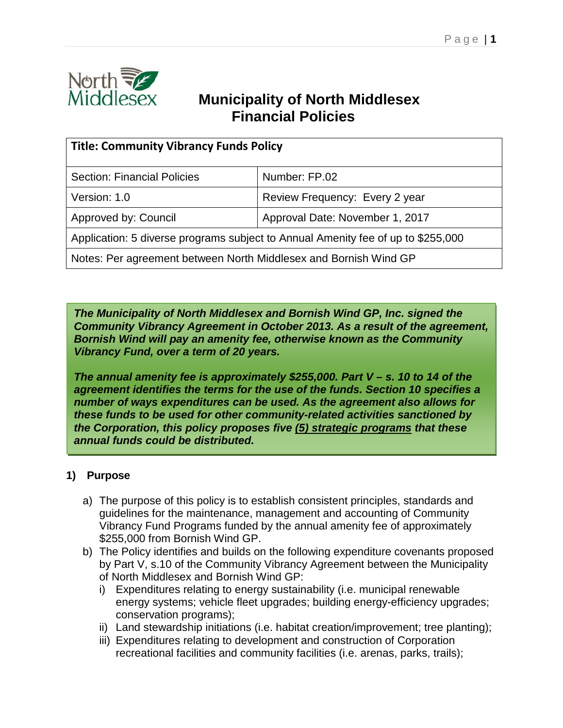

# **Municipality of North Middlesex Financial Policies**

| <b>Title: Community Vibrancy Funds Policy</b>                                    |                                 |  |
|----------------------------------------------------------------------------------|---------------------------------|--|
| <b>Section: Financial Policies</b>                                               | Number: FP.02                   |  |
| Version: 1.0                                                                     | Review Frequency: Every 2 year  |  |
| Approved by: Council                                                             | Approval Date: November 1, 2017 |  |
| Application: 5 diverse programs subject to Annual Amenity fee of up to \$255,000 |                                 |  |
| Notes: Per agreement between North Middlesex and Bornish Wind GP                 |                                 |  |

*The Municipality of North Middlesex and Bornish Wind GP, Inc. signed the Community Vibrancy Agreement in October 2013. As a result of the agreement, Bornish Wind will pay an amenity fee, otherwise known as the Community Vibrancy Fund, over a term of 20 years.*

*The annual amenity fee is approximately \$255,000. Part V – s. 10 to 14 of the agreement identifies the terms for the use of the funds. Section 10 specifies a number of ways expenditures can be used. As the agreement also allows for these funds to be used for other community-related activities sanctioned by the Corporation, this policy proposes five (5) strategic programs that these annual funds could be distributed.*

# **1) Purpose**

- a) The purpose of this policy is to establish consistent principles, standards and guidelines for the maintenance, management and accounting of Community Vibrancy Fund Programs funded by the annual amenity fee of approximately \$255,000 from Bornish Wind GP.
- b) The Policy identifies and builds on the following expenditure covenants proposed by Part V, s.10 of the Community Vibrancy Agreement between the Municipality of North Middlesex and Bornish Wind GP:
	- i) Expenditures relating to energy sustainability (i.e. municipal renewable energy systems; vehicle fleet upgrades; building energy-efficiency upgrades; conservation programs);
	- ii) Land stewardship initiations (i.e. habitat creation/improvement; tree planting);
	- iii) Expenditures relating to development and construction of Corporation recreational facilities and community facilities (i.e. arenas, parks, trails);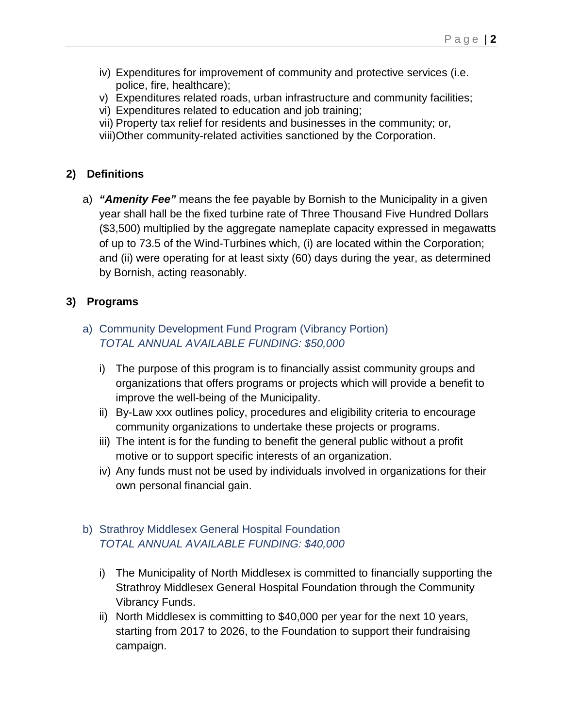- iv) Expenditures for improvement of community and protective services (i.e. police, fire, healthcare);
- v) Expenditures related roads, urban infrastructure and community facilities;
- vi) Expenditures related to education and job training;
- vii) Property tax relief for residents and businesses in the community; or, viii)Other community-related activities sanctioned by the Corporation.

#### **2) Definitions**

a) *"Amenity Fee"* means the fee payable by Bornish to the Municipality in a given year shall hall be the fixed turbine rate of Three Thousand Five Hundred Dollars (\$3,500) multiplied by the aggregate nameplate capacity expressed in megawatts of up to 73.5 of the Wind-Turbines which, (i) are located within the Corporation; and (ii) were operating for at least sixty (60) days during the year, as determined by Bornish, acting reasonably.

### **3) Programs**

### a) Community Development Fund Program (Vibrancy Portion) *TOTAL ANNUAL AVAILABLE FUNDING: \$50,000*

- i) The purpose of this program is to financially assist community groups and organizations that offers programs or projects which will provide a benefit to improve the well-being of the Municipality.
- ii) By-Law xxx outlines policy, procedures and eligibility criteria to encourage community organizations to undertake these projects or programs.
- iii) The intent is for the funding to benefit the general public without a profit motive or to support specific interests of an organization.
- iv) Any funds must not be used by individuals involved in organizations for their own personal financial gain.
- b) Strathroy Middlesex General Hospital Foundation *TOTAL ANNUAL AVAILABLE FUNDING: \$40,000*
	- i) The Municipality of North Middlesex is committed to financially supporting the Strathroy Middlesex General Hospital Foundation through the Community Vibrancy Funds.
	- ii) North Middlesex is committing to \$40,000 per year for the next 10 years, starting from 2017 to 2026, to the Foundation to support their fundraising campaign.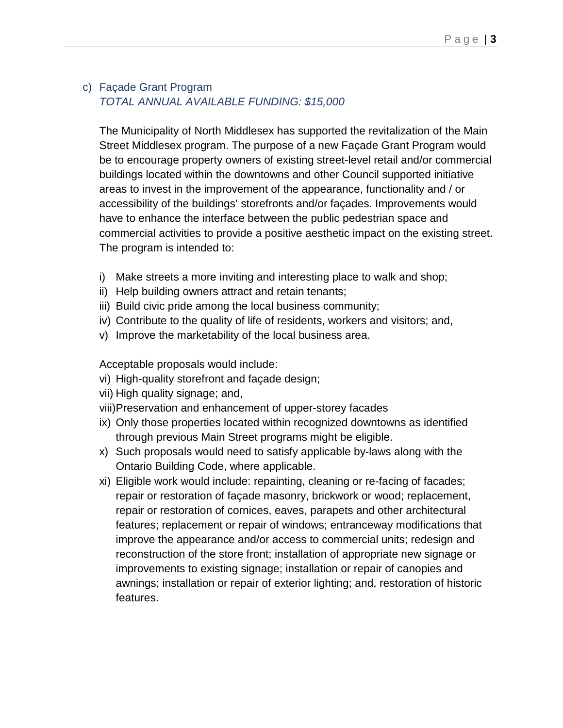## c) Façade Grant Program *TOTAL ANNUAL AVAILABLE FUNDING: \$15,000*

The Municipality of North Middlesex has supported the revitalization of the Main Street Middlesex program. The purpose of a new Façade Grant Program would be to encourage property owners of existing street-level retail and/or commercial buildings located within the downtowns and other Council supported initiative areas to invest in the improvement of the appearance, functionality and / or accessibility of the buildings' storefronts and/or façades. Improvements would have to enhance the interface between the public pedestrian space and commercial activities to provide a positive aesthetic impact on the existing street. The program is intended to:

- i) Make streets a more inviting and interesting place to walk and shop;
- ii) Help building owners attract and retain tenants;
- iii) Build civic pride among the local business community;
- iv) Contribute to the quality of life of residents, workers and visitors; and,
- v) Improve the marketability of the local business area.

Acceptable proposals would include:

- vi) High-quality storefront and façade design;
- vii) High quality signage; and,
- viii)Preservation and enhancement of upper-storey facades
- ix) Only those properties located within recognized downtowns as identified through previous Main Street programs might be eligible.
- x) Such proposals would need to satisfy applicable by-laws along with the Ontario Building Code, where applicable.
- xi) Eligible work would include: repainting, cleaning or re-facing of facades; repair or restoration of façade masonry, brickwork or wood; replacement, repair or restoration of cornices, eaves, parapets and other architectural features; replacement or repair of windows; entranceway modifications that improve the appearance and/or access to commercial units; redesign and reconstruction of the store front; installation of appropriate new signage or improvements to existing signage; installation or repair of canopies and awnings; installation or repair of exterior lighting; and, restoration of historic features.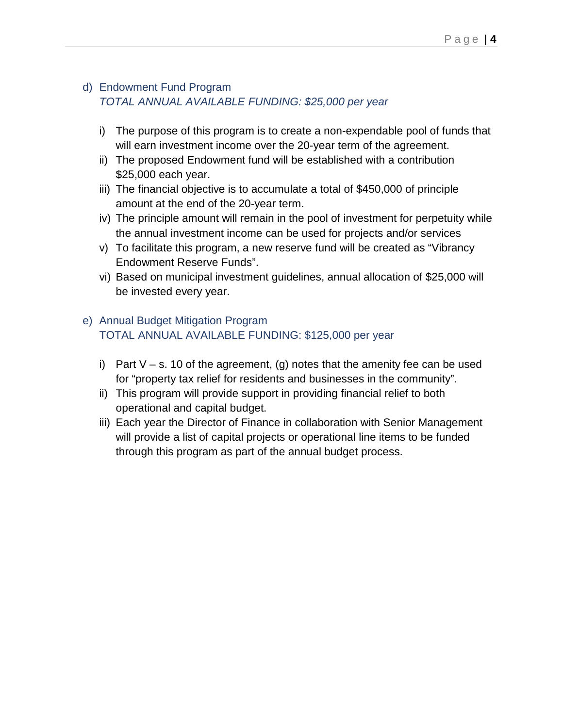## d) Endowment Fund Program *TOTAL ANNUAL AVAILABLE FUNDING: \$25,000 per year*

- i) The purpose of this program is to create a non-expendable pool of funds that will earn investment income over the 20-year term of the agreement.
- ii) The proposed Endowment fund will be established with a contribution \$25,000 each year.
- iii) The financial objective is to accumulate a total of \$450,000 of principle amount at the end of the 20-year term.
- iv) The principle amount will remain in the pool of investment for perpetuity while the annual investment income can be used for projects and/or services
- v) To facilitate this program, a new reserve fund will be created as "Vibrancy Endowment Reserve Funds".
- vi) Based on municipal investment guidelines, annual allocation of \$25,000 will be invested every year.

# e) Annual Budget Mitigation Program TOTAL ANNUAL AVAILABLE FUNDING: \$125,000 per year

- i) Part  $V s$ . 10 of the agreement, (g) notes that the amenity fee can be used for "property tax relief for residents and businesses in the community".
- ii) This program will provide support in providing financial relief to both operational and capital budget.
- iii) Each year the Director of Finance in collaboration with Senior Management will provide a list of capital projects or operational line items to be funded through this program as part of the annual budget process.